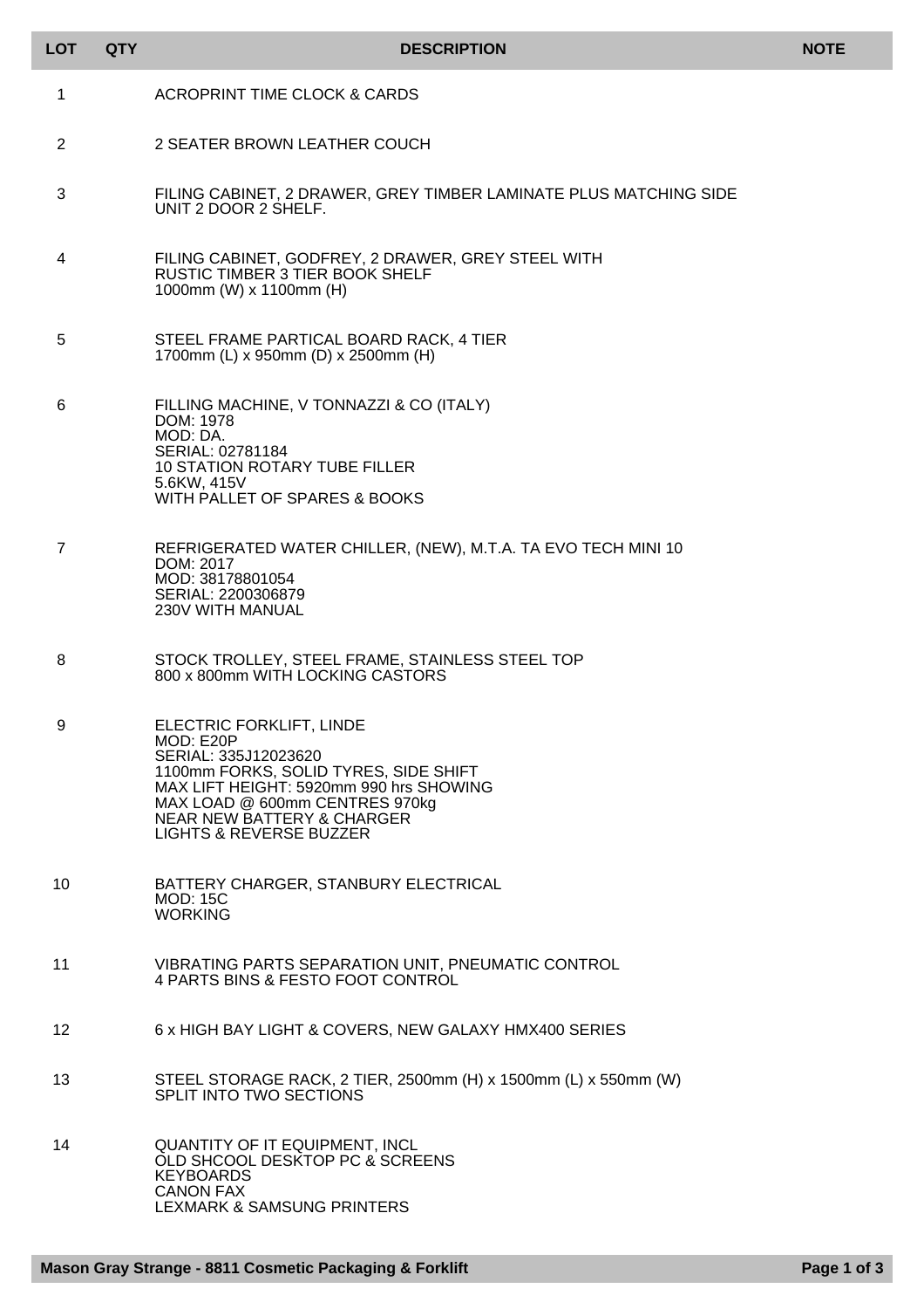| <b>LOT</b>      | <b>QTY</b> | <b>DESCRIPTION</b>                                                                                                                                                                                                                                                 | <b>NOTE</b> |
|-----------------|------------|--------------------------------------------------------------------------------------------------------------------------------------------------------------------------------------------------------------------------------------------------------------------|-------------|
| 1               |            | ACROPRINT TIME CLOCK & CARDS                                                                                                                                                                                                                                       |             |
| 2               |            | 2 SEATER BROWN LEATHER COUCH                                                                                                                                                                                                                                       |             |
| 3               |            | FILING CABINET, 2 DRAWER, GREY TIMBER LAMINATE PLUS MATCHING SIDE<br>UNIT 2 DOOR 2 SHELF.                                                                                                                                                                          |             |
| 4               |            | FILING CABINET, GODFREY, 2 DRAWER, GREY STEEL WITH<br><b>RUSTIC TIMBER 3 TIER BOOK SHELF</b><br>1000mm (W) x 1100mm (H)                                                                                                                                            |             |
| 5               |            | STEEL FRAME PARTICAL BOARD RACK, 4 TIER<br>1700mm (L) x 950mm (D) x 2500mm (H)                                                                                                                                                                                     |             |
| 6               |            | FILLING MACHINE, V TONNAZZI & CO (ITALY)<br>DOM: 1978<br>MOD: DA.<br>SERIAL: 02781184<br><b>10 STATION ROTARY TUBE FILLER</b><br>5.6KW, 415V<br>WITH PALLET OF SPARES & BOOKS                                                                                      |             |
| 7               |            | REFRIGERATED WATER CHILLER, (NEW), M.T.A. TA EVO TECH MINI 10<br>DOM: 2017<br>MOD: 38178801054<br>SERIAL: 2200306879<br><b>230V WITH MANUAL</b>                                                                                                                    |             |
| 8               |            | STOCK TROLLEY, STEEL FRAME, STAINLESS STEEL TOP<br>800 x 800mm WITH LOCKING CASTORS                                                                                                                                                                                |             |
| 9               |            | ELECTRIC FORKLIFT, LINDE<br>MOD: E20P<br>SERIAL: 335J12023620<br>1100mm FORKS, SOLID TYRES, SIDE SHIFT<br>MAX LIFT HEIGHT: 5920mm 990 hrs SHOWING<br>MAX LOAD @ 600mm CENTRES 970kg<br><b>NEAR NEW BATTERY &amp; CHARGER</b><br><b>LIGHTS &amp; REVERSE BUZZER</b> |             |
| 10              |            | BATTERY CHARGER, STANBURY ELECTRICAL<br><b>MOD: 15C</b><br><b>WORKING</b>                                                                                                                                                                                          |             |
| 11              |            | VIBRATING PARTS SEPARATION UNIT, PNEUMATIC CONTROL<br>4 PARTS BINS & FESTO FOOT CONTROL                                                                                                                                                                            |             |
| 12 <sup>°</sup> |            | 6 x HIGH BAY LIGHT & COVERS, NEW GALAXY HMX400 SERIES                                                                                                                                                                                                              |             |
| 13              |            | STEEL STORAGE RACK, 2 TIER, 2500mm (H) x 1500mm (L) x 550mm (W)<br><b>SPLIT INTO TWO SECTIONS</b>                                                                                                                                                                  |             |
| 14              |            | QUANTITY OF IT EQUIPMENT, INCL<br>OLD SHCOOL DESKTOP PC & SCREENS<br><b>KEYBOARDS</b><br><b>CANON FAX</b><br><b>LEXMARK &amp; SAMSUNG PRINTERS</b>                                                                                                                 |             |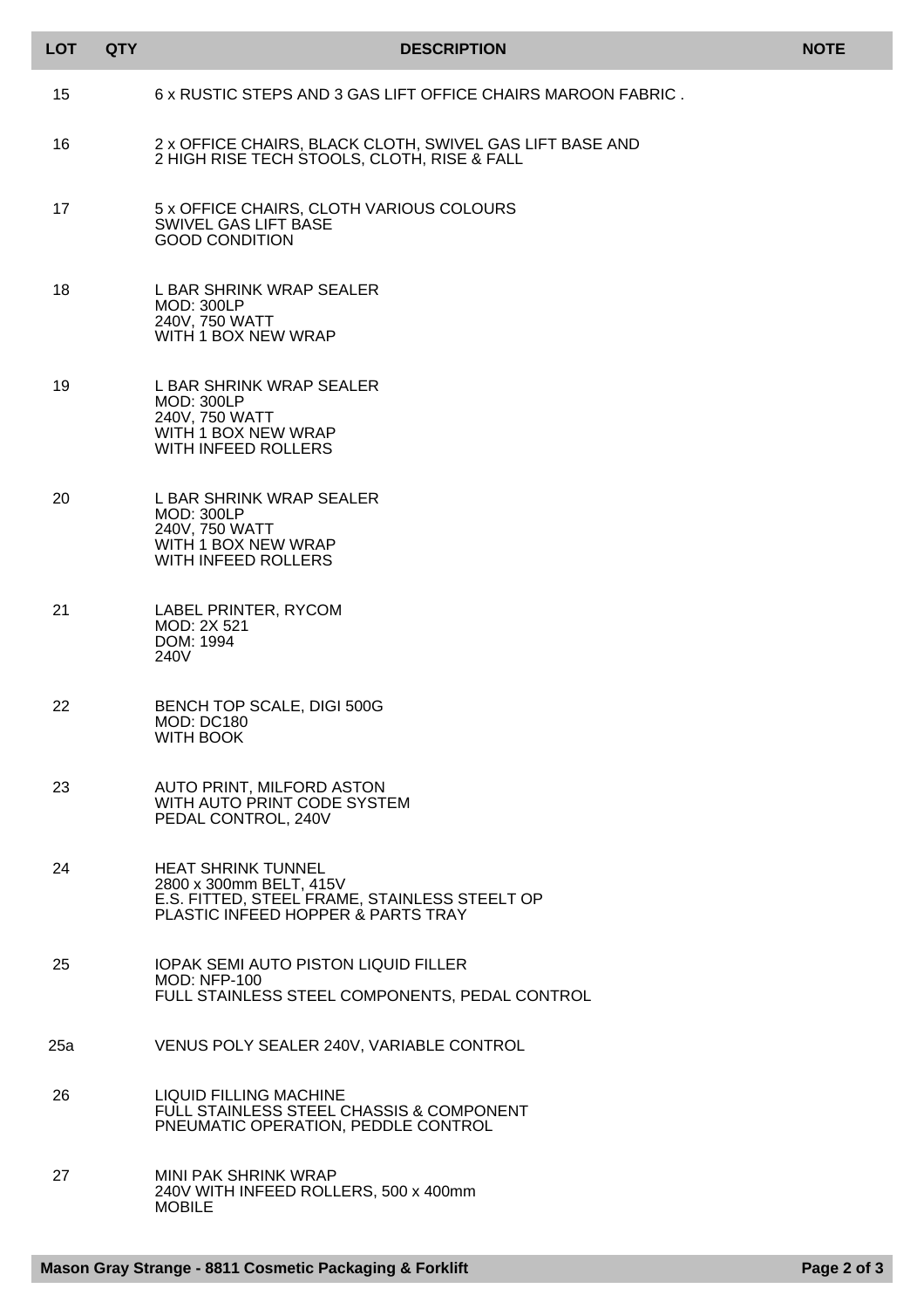| <b>LOT</b> | <b>QTY</b> | <b>DESCRIPTION</b>                                                                                                                          | <b>NOTE</b> |
|------------|------------|---------------------------------------------------------------------------------------------------------------------------------------------|-------------|
| 15         |            | 6 x RUSTIC STEPS AND 3 GAS LIFT OFFICE CHAIRS MAROON FABRIC.                                                                                |             |
| 16         |            | 2 x OFFICE CHAIRS, BLACK CLOTH, SWIVEL GAS LIFT BASE AND<br>2 HIGH RISE TECH STOOLS, CLOTH, RISE & FALL                                     |             |
| 17         |            | 5 x OFFICE CHAIRS, CLOTH VARIOUS COLOURS<br>SWIVEL GAS LIFT BASE<br><b>GOOD CONDITION</b>                                                   |             |
| 18         |            | L BAR SHRINK WRAP SEALER<br><b>MOD: 300LP</b><br>240V, 750 WATT<br>WITH 1 BOX NEW WRAP                                                      |             |
| 19         |            | L BAR SHRINK WRAP SEALER<br><b>MOD: 300LP</b><br>240V, 750 WATT<br>WITH 1 BOX NEW WRAP<br><b>WITH INFEED ROLLERS</b>                        |             |
| 20         |            | L BAR SHRINK WRAP SEALER<br><b>MOD: 300LP</b><br>240V, 750 WATT<br>WITH 1 BOX NEW WRAP<br><b>WITH INFEED ROLLERS</b>                        |             |
| 21         |            | LABEL PRINTER, RYCOM<br>MOD: 2X 521<br>DOM: 1994<br>240V                                                                                    |             |
| 22         |            | BENCH TOP SCALE, DIGI 500G<br><b>MOD: DC180</b><br><b>WITH BOOK</b>                                                                         |             |
| 23         |            | AUTO PRINT, MILFORD ASTON<br>WITH AUTO PRINT CODE SYSTEM<br>PEDAL CONTROL, 240V                                                             |             |
| 24         |            | <b>HEAT SHRINK TUNNEL</b><br>2800 x 300mm BELT, 415V<br>E.S. FITTED, STEEL FRAME, STAINLESS STEELT OP<br>PLASTIC INFEED HOPPER & PARTS TRAY |             |
| 25         |            | <b>IOPAK SEMI AUTO PISTON LIQUID FILLER</b><br><b>MOD: NFP-100</b><br>FULL STAINLESS STEEL COMPONENTS, PEDAL CONTROL                        |             |
| 25a        |            | VENUS POLY SEALER 240V, VARIABLE CONTROL                                                                                                    |             |
| 26         |            | <b>LIQUID FILLING MACHINE</b><br>FULL STAINLESS STEEL CHASSIS & COMPONENT<br>PNEUMATIC OPERATION, PEDDLE CONTROL                            |             |
| 27         |            | <b>MINI PAK SHRINK WRAP</b><br>240V WITH INFEED ROLLERS, 500 x 400mm<br><b>MOBILE</b>                                                       |             |